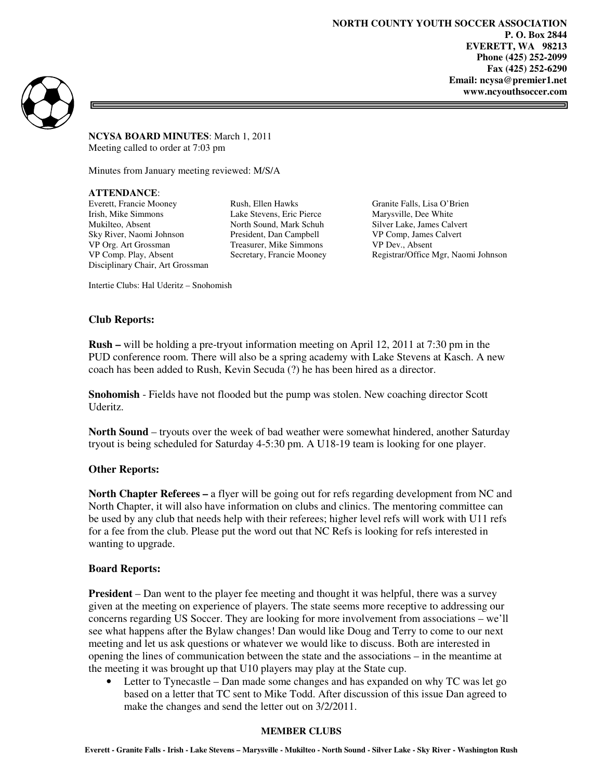**NORTH COUNTY YOUTH SOCCER ASSOCIATION P. O. Box 2844 EVERETT, WA 98213 Phone (425) 252-2099 Fax (425) 252-6290 Email: ncysa@premier1.net www.ncyouthsoccer.com** 

 $\equiv$ 



**NCYSA BOARD MINUTES**: March 1, 2011 Meeting called to order at 7:03 pm

Minutes from January meeting reviewed: M/S/A

**ATTENDANCE**:

Everett, Francie Mooney Rush, Ellen Hawks Granite Falls, Lisa O'Brien<br>
Irish, Mike Simmons Lake Stevens, Eric Pierce Marysville, Dee White Mukilteo, Absent North Sound, Mark Schuh Silver Lake, James Calvert Sky River, Naomi Johnson President, Dan Campbell VP Comp, James Calvert VP Org. Art Grossman Treasurer, Mike Simmons VP Dev., Absent Disciplinary Chair, Art Grossman

Lake Stevens, Eric Pierce Marysville, Dee White

VP Comp. Play, Absent Secretary, Francie Mooney Registrar/Office Mgr, Naomi Johnson

Intertie Clubs: Hal Uderitz – Snohomish

## **Club Reports:**

**Rush –** will be holding a pre-tryout information meeting on April 12, 2011 at 7:30 pm in the PUD conference room. There will also be a spring academy with Lake Stevens at Kasch. A new coach has been added to Rush, Kevin Secuda (?) he has been hired as a director.

**Snohomish** - Fields have not flooded but the pump was stolen. New coaching director Scott Uderitz.

**North Sound** – tryouts over the week of bad weather were somewhat hindered, another Saturday tryout is being scheduled for Saturday 4-5:30 pm. A U18-19 team is looking for one player.

## **Other Reports:**

**North Chapter Referees – a flyer will be going out for refs regarding development from NC and** North Chapter, it will also have information on clubs and clinics. The mentoring committee can be used by any club that needs help with their referees; higher level refs will work with U11 refs for a fee from the club. Please put the word out that NC Refs is looking for refs interested in wanting to upgrade.

## **Board Reports:**

**President** – Dan went to the player fee meeting and thought it was helpful, there was a survey given at the meeting on experience of players. The state seems more receptive to addressing our concerns regarding US Soccer. They are looking for more involvement from associations – we'll see what happens after the Bylaw changes! Dan would like Doug and Terry to come to our next meeting and let us ask questions or whatever we would like to discuss. Both are interested in opening the lines of communication between the state and the associations – in the meantime at the meeting it was brought up that U10 players may play at the State cup.

• Letter to Tynecastle – Dan made some changes and has expanded on why TC was let go based on a letter that TC sent to Mike Todd. After discussion of this issue Dan agreed to make the changes and send the letter out on 3/2/2011.

#### **MEMBER CLUBS**